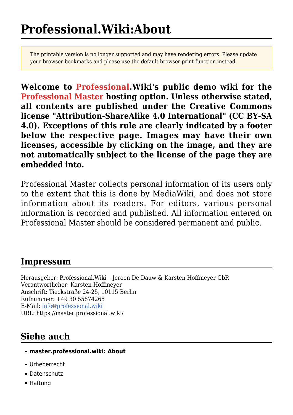The printable version is no longer supported and may have rendering errors. Please update your browser bookmarks and please use the default browser print function instead.

**Welcome to [Professional.Wiki's](https://professional.wiki) public demo wiki for the [Professional Master hosting option](https://professional.wiki/en/hosting/master). Unless otherwise stated, all contents are published under the Creative Commons license ["Attribution-ShareAlike 4.0 International"](https://creativecommons.org/licenses/by-sa/4.0/) (CC BY-SA 4.0). Exceptions of this rule are clearly indicated by a footer below the respective page. Images may have their own licenses, accessible by clicking on the image, and they are not automatically subject to the license of the page they are embedded into.**

Professional Master collects personal information of its users only to the extent that this is done by MediaWiki, and does not store information about its readers. For editors, various personal information is recorded and published. All information entered on Professional Master should be considered permanent and public.

## **Impressum**

Herausgeber: Professional.Wiki – Jeroen De Dauw & Karsten Hoffmeyer GbR Verantwortlicher: Karsten Hoffmeyer Anschrift: Tieckstraße 24-25, 10115 Berlin Rufnummer: [+49 30 55874265](#page--1-0) E-Mail: [info](mailto:info@professional.wiki)@[professional.wiki](mailto:info@professional.wiki) URL: <https://master.professional.wiki/>

# **Siehe auch**

- **master.professional.wiki: About**
- [Urheberrecht](https://master.professional.wiki/page/Professional.Wiki:Copyrights)
- [Datenschutz](https://master.professional.wiki/page/Professional.Wiki:Privacy_policy)
- [Haftung](https://master.professional.wiki/page/Professional.Wiki:General_disclaimer)